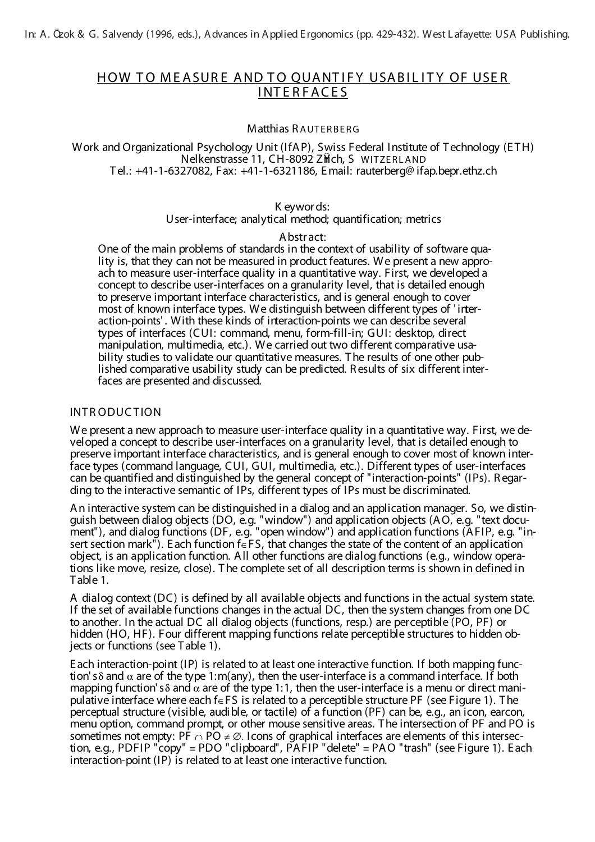# HOW TO MEASURE AND TO QUANTIFY USABILITY OF USER **INTERFACES**

Matthias R AUTERBERG

Work and Organizational Psychology Unit (IfAP), Swiss Federal Institute of Technology (ETH) Nelkenstrasse 11, CH-8092 ZMch, S WITZERLAND Tel.: +41-1-6327082, Fax: +41-1-6321186, Email: rauterberg@ ifap.bepr.ethz.ch

K eywords:

User-interface; analytical method; quantification; metrics

Abstract:

One of the main problems of standards in the context of usability of software quality is, that they can not be measured in product features. We present a new approach to measure user-interface quality in a quantitative way. First, we developed a concept to describe user-interfaces on a granularity level, that is detailed enough to preserve important interface characteristics, and is general enough to cover most of known interface types. We distinguish between different types of ' interaction-points' . With these kinds of interaction-points we can describe several types of interfaces (CUI: command, menu, form-fill-in; GUI: desktop, direct manipulation, multimedia, etc.). We carried out two different comparative usability studies to validate our quantitative measures. The results of one other published comparative usability study can be predicted. Results of six different interfaces are presented and discussed.

#### INTR ODUCTION

We present a new approach to measure user-interface quality in a quantitative way. First, we developed a concept to describe user-interfaces on a granularity level, that is detailed enough to preserve important interface characteristics, and is general enough to cover most of known interface types (command language, CUI, GUI, multimedia, etc.). Different types of user-interfaces can be quantified and distinguished by the general concept of "interaction-points" (IPs). Regarding to the interactive semantic of IPs, different types of IPs must be discriminated.

An interactive system can be distinguished in a dialog and an application manager. So, we distinguish between dialog objects (DO, e.g. "window") and application objects (AO, e.g. "text document"), and dialog functions (DF, e.g. "open window") and application functions (AFIP, e.g. "insert section mark"). Each function f∈FS, that changes the state of the content of an application object, is an application function. All other functions are dialog functions (e.g., window operations like move, resize, close). The complete set of all description terms is shown in defined in Table 1.

A dialog context (DC) is defined by all available objects and functions in the actual system state. If the set of available functions changes in the actual DC, then the system changes from one DC to another. In the actual DC all dialog objects (functions, resp.) are perceptible (PO, PF) or hidden (HO, HF). Four different mapping functions relate perceptible structures to hidden objects or functions (see Table 1).

Each interaction-point (IP) is related to at least one interactive function. If both mapping function's  $\delta$  and  $\alpha$  are of the type 1:m(any), then the user-interface is a command interface. If both mapping function's  $\delta$  and  $\alpha$  are of the type 1:1, then the user-interface is a menu or direct manipulative interface where each f∈FS is related to a perceptible structure PF (see Figure 1). The perceptual structure (visible, audible, or tactile) of a function (PF) can be, e.g., an icon, earcon, menu option, command prompt, or other mouse sensitive areas. The intersection of PF and PO is sometimes not empty: PF  $\cap$  PO  $\neq \emptyset$ . I cons of graphical interfaces are elements of this intersection, e.g., PDFIP "copy" ≡ PDO "clipboard", PAFIP "delete" ≡ PAO "trash" (see Figure 1). Each interaction-point (IP) is related to at least one interactive function.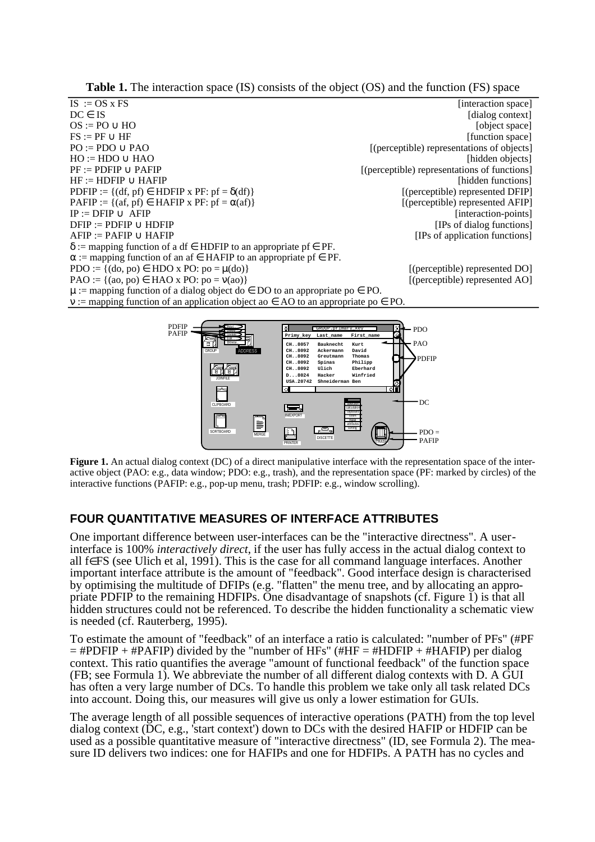| $IS := OS \times FS$                                                                        | [interaction space]                          |
|---------------------------------------------------------------------------------------------|----------------------------------------------|
| $DC \in IS$                                                                                 | [dialog context]                             |
| $OS := PO \cup HO$                                                                          | [object space]                               |
| $FS := PF \cup HF$                                                                          | [function space]                             |
| $PO := PDO \cup PAO$                                                                        | [(perceptible) representations of objects]   |
| $HO := HDO \cup HAO$                                                                        | [hidden objects]                             |
| $PF := PDFIP \cup PAFIP$                                                                    | [(perceptible) representations of functions] |
| $HF := HDFIP \cup HAFIP$                                                                    | [hidden functions]                           |
| $PDFIP := \{(df, pf) \in HDFIP x PF: pf = \delta(df)\}\$                                    | [(perceptible) represented DFIP]             |
| $PAFIP := \{(af, pf) \in HAFIP x PF: pf = \alpha(af)\}\$                                    | [(perceptible) represented AFIP]             |
| $IP := DFTP \cup AFIP$                                                                      | [interaction-points]                         |
| $DFIP := PDFIP \cup HDFIP$                                                                  | [IPs of dialog functions]                    |
| $AFIP := PAFIP \cup HAFIP$                                                                  | [IPs of application functions]               |
| $\delta$ := mapping function of a df $\in$ HDFIP to an appropriate pf $\in$ PF.             |                                              |
| $\alpha$ := mapping function of an af $\in$ HAFIP to an appropriate pf $\in$ PF.            |                                              |
| PDO := { $(do, po) \in HDO x PO: po = \mu(do)$ }                                            | [(perceptible) represented $DO$ ]            |
| $PAO := \{(ao, po) \in HAO \times PO: po = v(ao)\}\$                                        | [(perceptible) represented AO]               |
| $\mu$ := mapping function of a dialog object do $\in$ DO to an appropriate po $\in$ PO.     |                                              |
| $v :=$ mapping function of an application object ao $\in$ AO to an appropriate po $\in$ PO. |                                              |
|                                                                                             |                                              |

**Table 1.** The interaction space (IS) consists of the object (OS) and the function (FS) space



**Figure 1.** An actual dialog context (DC) of a direct manipulative interface with the representation space of the interactive object (PAO: e.g., data window; PDO: e.g., trash), and the representation space (PF: marked by circles) of the interactive functions (PAFIP: e.g., pop-up menu, trash; PDFIP: e.g., window scrolling).

### **FOUR QUANTITATIVE MEASURES OF INTERFACE ATTRIBUTES**

One important difference between user-interfaces can be the "interactive directness". A userinterface is 100% *interactively direct*, if the user has fully access in the actual dialog context to all f∈FS (see Ulich et al, 1991). This is the case for all command language interfaces. Another important interface attribute is the amount of "feedback". Good interface design is characterised by optimising the multitude of DFIPs (e.g. "flatten" the menu tree, and by allocating an appropriate PDFIP to the remaining HDFIPs. One disadvantage of snapshots (cf. Figure 1) is that all hidden structures could not be referenced. To describe the hidden functionality a schematic view is needed (cf. Rauterberg, 1995).

To estimate the amount of "feedback" of an interface a ratio is calculated: "number of PFs" (#PF  $=$  #PDFIP + #PAFIP) divided by the "number of HFs" (#HF = #HDFIP + #HAFIP) per dialog context. This ratio quantifies the average "amount of functional feedback" of the function space (FB; see Formula 1). We abbreviate the number of all different dialog contexts with D. A GUI has often a very large number of DCs. To handle this problem we take only all task related DCs into account. Doing this, our measures will give us only a lower estimation for GUIs.

The average length of all possible sequences of interactive operations (PATH) from the top level dialog context (DC, e.g., 'start context') down to DCs with the desired HAFIP or HDFIP can be used as a possible quantitative measure of "interactive directness" (ID, see Formula 2). The measure ID delivers two indices: one for HAFIPs and one for HDFIPs. A PATH has no cycles and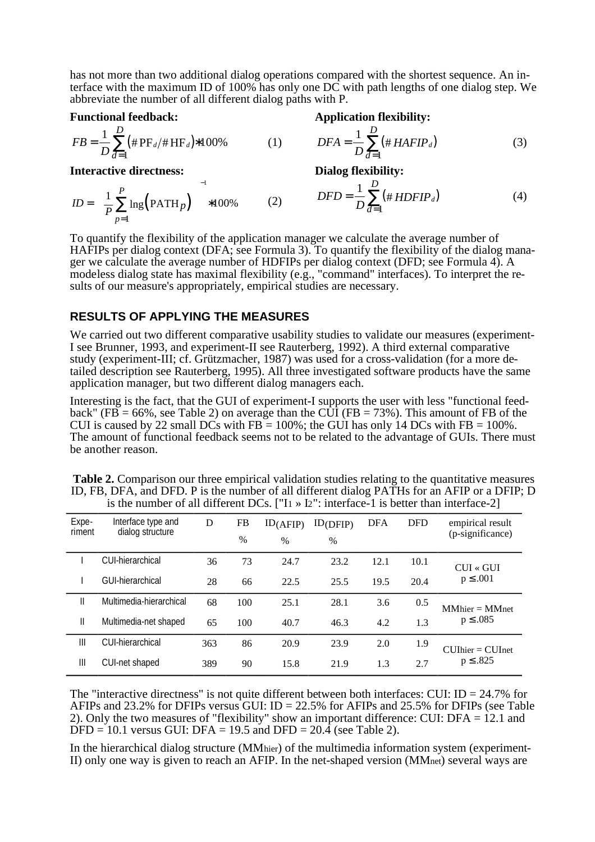has not more than two additional dialog operations compared with the shortest sequence. An interface with the maximum ID of 100% has only one DC with path lengths of one dialog step. We abbreviate the number of all different dialog paths with P.

**Functional feedback:**

$$
FB = \frac{1}{D} \sum_{d=1}^{D} (\# \text{PF}_d / \# \text{HF}_d) * 100\%
$$
 (1)

−1

∗100% (2)

 $\overline{ }$  $\left\{ \right.$  $\int$  **Application flexibility:** *D*

$$
DFA = \frac{1}{D} \sum_{d=1}^{D} \left( # HAFIP_d \right) \tag{3}
$$

**Interactive directness:**

 $\frac{1}{P}\sum_{i=1}^{P}$ 

 $\lfloor$ 

 $\frac{1}{P}\sum_{p=1}^{I}\log\Bigl(\text{PATH}_p\Bigr)$ 

*ID* =

**Dialog flexibility:**

$$
DFD = \frac{1}{D} \sum_{d=1}^{D} \left( # HDFIP_d \right) \tag{4}
$$

To quantify the flexibility of the application manager we calculate the average number of HAFIPs per dialog context (DFA; see Formula 3). To quantify the flexibility of the dialog manager we calculate the average number of HDFIPs per dialog context (DFD; see Formula 4). A modeless dialog state has maximal flexibility (e.g., "command" interfaces). To interpret the results of our measure's appropriately, empirical studies are necessary.

### **RESULTS OF APPLYING THE MEASURES**

We carried out two different comparative usability studies to validate our measures (experiment-I see Brunner, 1993, and experiment-II see Rauterberg, 1992). A third external comparative study (experiment-III; cf. Grützmacher, 1987) was used for a cross-validation (for a more detailed description see Rauterberg, 1995). All three investigated software products have the same application manager, but two different dialog managers each.

Interesting is the fact, that the GUI of experiment-I supports the user with less "functional feedback" (FB = 66%, see Table 2) on average than the CUI (FB = 73%). This amount of FB of the CUI is caused by 22 small DCs with  $FB = 100\%$ ; the GUI has only 14 DCs with  $FB = 100\%$ . The amount of functional feedback seems not to be related to the advantage of GUIs. There must be another reason.

| Expe-<br>riment | Interface type and<br>dialog structure | D   | FB<br>$\frac{0}{0}$ | ID(AFIP)<br>$\frac{0}{0}$ | ID(DFIP)<br>% | <b>DFA</b> | <b>DFD</b> | empirical result<br>(p-significance) |
|-----------------|----------------------------------------|-----|---------------------|---------------------------|---------------|------------|------------|--------------------------------------|
|                 | CUI-hierarchical                       | 36  | 73                  | 24.7                      | 23.2          | 12.1       | 10.1       | CUI « GUI<br>$p \leq .001$           |
|                 | GUL-hierarchical                       | 28  | 66                  | 22.5                      | 25.5          | 19.5       | 20.4       |                                      |
| Ш               | Multimedia-hierarchical                | 68  | 100                 | 25.1                      | 28.1          | 3.6        | 0.5        | $MM$ hier = MMnet<br>$p \leq .085$   |
| Ш               | Multimedia-net shaped                  | 65  | 100                 | 40.7                      | 46.3          | 4.2        | 1.3        |                                      |
| Ш               | CUI-hierarchical                       | 363 | 86                  | 20.9                      | 23.9          | 2.0        | 1.9        | $CUIhier = CUInet$<br>$p \leq .825$  |
| Ш               | CUI-net shaped                         | 389 | 90                  | 15.8                      | 21.9          | 1.3        | 2.7        |                                      |

**Table 2.** Comparison our three empirical validation studies relating to the quantitative measures ID, FB, DFA, and DFD. P is the number of all different dialog PATHs for an AFIP or a DFIP; D is the number of all different DCs. ["I<sub>1</sub>  $\gg$  I<sub>2</sub>": interface-1 is better than interface-2]

The "interactive directness" is not quite different between both interfaces: CUI:  $ID = 24.7\%$  for AFIPs and 23.2% for DFIPs versus GUI:  $ID = 22.5\%$  for AFIPs and 25.5% for DFIPs (see Table 2). Only the two measures of "flexibility" show an important difference: CUI: DFA = 12.1 and  $DFD = 10.1$  versus GUI:  $DFA = 19.5$  and  $DFD = 20.4$  (see Table 2).

In the hierarchical dialog structure (MMhier) of the multimedia information system (experiment-II) only one way is given to reach an AFIP. In the net-shaped version (MMnet) several ways are